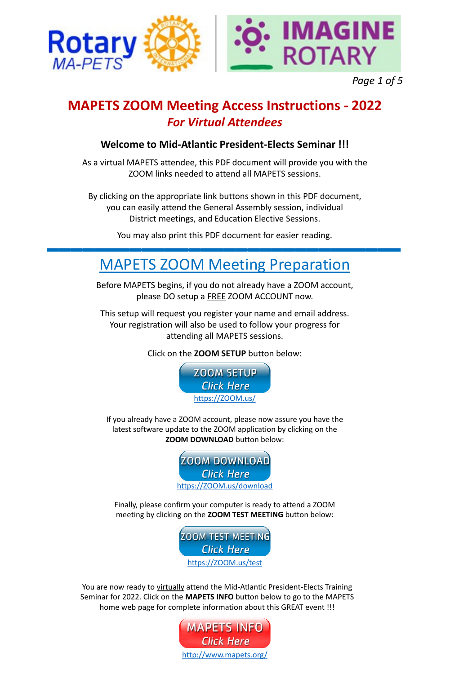#### **Welcome to Mid-Atlantic President-Elects Seminar !!!**

As a virtual MAPETS attendee, this PDF document will provide you with the ZOOM links needed to attend all MAPETS sessions.

By clicking on the appropriate link buttons shown in this PDF document, you can easily attend the General Assembly session, individual District meetings, and Education Elective Sessions.

You may also print this PDF document for easier reading.

Before MAPETS begins, if you do not already have a ZOOM account, please DO setup a FREE ZOOM ACCOUNT now.

This setup will request you register your name and email address. Your registration will also be used to follow your progress for attending all MAPETS sessions.

You are now ready to virtually attend the Mid-Atlantic President-Elects Training Seminar for 2022. Click on the **MAPETS INFO** button below to go to the MAPETS home web page for complete information about this GREAT event !!!

Click on the **ZOOM SETUP** button below:

## **MAPETS ZOOM Meeting Access Instructions - 2022** *For Virtual Attendees*

# MAPETS ZOOM Meeting Preparation

If you already have a ZOOM account, please now assure you have the

latest software update to the ZOOM application by clicking on the **ZOOM DOWNLOAD** button below:

Finally, please confirm your computer is ready to attend a ZOOM meeting by clicking on the **ZOOM TEST MEETING** button below:











*Page 1 of 5*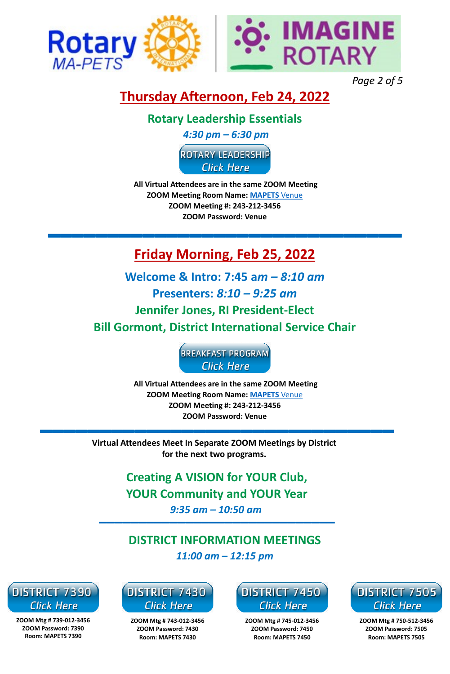### **Thursday Afternoon, Feb 24, 2022**

### **Rotary Leadership Essentials**

*4:30 pm – 6:30 pm*

**ROTARY LEADERSHIP Click Here** 

**All Virtual Attendees are in the same ZOOM Meeting ZOOM Meeting Room Name: [MAPETS](mailto:MAPETS.venue@gmail.com)** Venue **ZOOM Meeting #: 243-212-3456 ZOOM Password: Venue**

**Creating A VISION for YOUR Club, YOUR Community and YOUR Year** *9:35 am – 10:50 am*

**DISTRICT INFORMATION MEETINGS** *11:00 am – 12:15 pm*



**ZOOM Mtg # 743-012-3456 ZOOM Password: 7430 Room: MAPETS 7430**



**ZOOM Mtg # 739-012-3456 ZOOM Password: 7390 Room: MAPETS 7390**



**ZOOM Mtg # 745-012-3456 ZOOM Password: 7450 Room: MAPETS 7450**



**ZOOM Mtg # 750-512-3456 ZOOM Password: 7505 Room: MAPETS 7505**

## **Friday Morning, Feb 25, 2022**

**Welcome & Intro: 7:45 a***m – 8:10 am* **Presenters:** *8:10 – 9:25 am* **Jennifer Jones, RI President-Elect Bill Gormont, District International Service Chair** 



**Virtual Attendees Meet In Separate ZOOM Meetings by District for the next two programs.** 



*Page 2 of 5*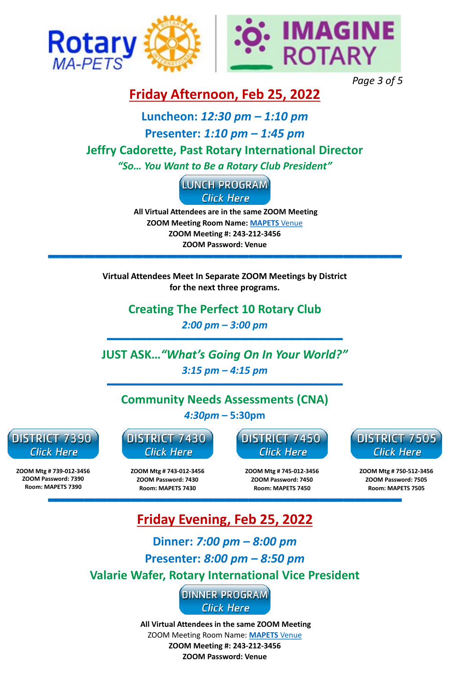**Creating The Perfect 10 Rotary Club** *2:00 pm – 3:00 pm*

**ZOOM Mtg # 743-012-3456 ZOOM Password: 7430 Room: MAPETS 7430**



**ZOOM Mtg # 739-012-3456 ZOOM Password: 7390 Room: MAPETS 7390**



**ZOOM Mtg # 745-012-3456 ZOOM Password: 7450 Room: MAPETS 7450**



**ZOOM Mtg # 750-512-3456 ZOOM Password: 7505 Room: MAPETS 7505**

**Virtual Attendees Meet In Separate ZOOM Meetings by District for the next three programs.** 

### **Friday Afternoon, Feb 25, 2022**

#### **Luncheon:** *12:30 pm – 1:10 pm*

#### **Presenter:** *1:10 pm – 1:45 pm*

### **Jeffry Cadorette, Past Rotary International Director**

*"So… You Want to Be a Rotary Club President"*



**JUST ASK…***"What's Going On In Your World?" 3:15 pm – 4:15 pm* 

**Community Needs Assessments (CNA)** *4:30pm* **– 5:30pm**



## **Friday Evening, Feb 25, 2022**

**Dinner:** *7:00 pm – 8:00 pm*

#### **Presenter:** *8:00 pm – 8:50 pm*

**Valarie Wafer, Rotary International Vice President**

**DINNER PROGRAM Click Here** 

**All Virtual Attendees in the same ZOOM Meeting** ZOOM Meeting Room Name: **[MAPETS](mailto:MAPETS.venue@gmail.com)** Venue **ZOOM Meeting #: 243-212-3456**

**ZOOM Password: Venue**



*Page 3 of 5*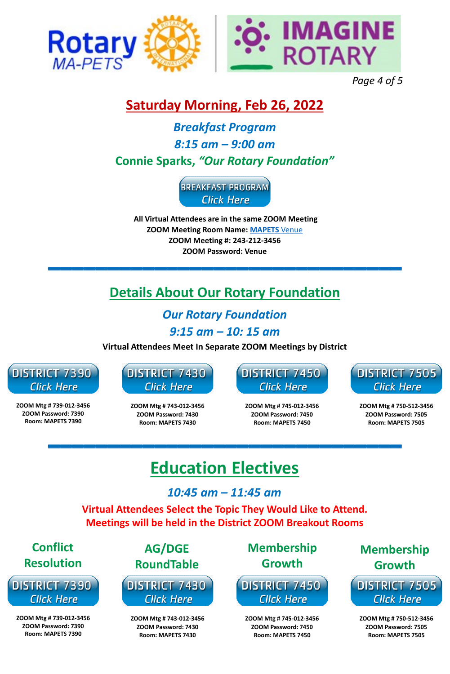### **Saturday Morning, Feb 26, 2022**

*Breakfast Program 8:15 am – 9:00 am* **Connie Sparks,** *"Our Rotary Foundation"*



# **Details About Our Rotary Foundation**

*Our Rotary Foundation*

*9:15 am – 10: 15 am*

**Virtual Attendees Meet In Separate ZOOM Meetings by District**



**ZOOM Mtg # 743-012-3456 ZOOM Password: 7430**



**ZOOM Mtg # 739-012-3456 ZOOM Password: 7390**



**ZOOM Mtg # 745-012-3456 ZOOM Password: 7450**



**ZOOM Mtg # 750-512-3456 ZOOM Password: 7505**

# **Education Electives**

#### **Virtual Attendees Select the Topic They Would Like to Attend. Meetings will be held in the District ZOOM Breakout Rooms**

| <b>Conflict</b>          | AG/DGE                  | <b>Membership</b>        | <b>Membership</b>        |
|--------------------------|-------------------------|--------------------------|--------------------------|
| <b>Resolution</b>        | <b>RoundTable</b>       | <b>Growth</b>            | <b>Growth</b>            |
| DISTRICT 7390            | DISTRICT 7430           | <b>DISTRICT 7450</b>     | <b>DISTRICT 7505</b>     |
| <b>Click Here</b>        | <b>Click Here</b>       | <b>Click Here</b>        | <b>Click Here</b>        |
| ZOOM Mtg # 739-012-3456  | ZOOM Mtg # 743-012-3456 | ZOOM Mtg # 745-012-3456  | ZOOM Mtg # 750-512-3456  |
| ZOOM Password: 7390      | ZOOM Password: 7430     | ZOOM Password: 7450      | ZOOM Password: 7505      |
| <b>Room: MAPETS 7390</b> | Room: MAPETS 7430       | <b>Room: MAPETS 7450</b> | <b>Room: MAPETS 7505</b> |

#### *10:45 am – 11:45 am*



*Page 4 of 5*